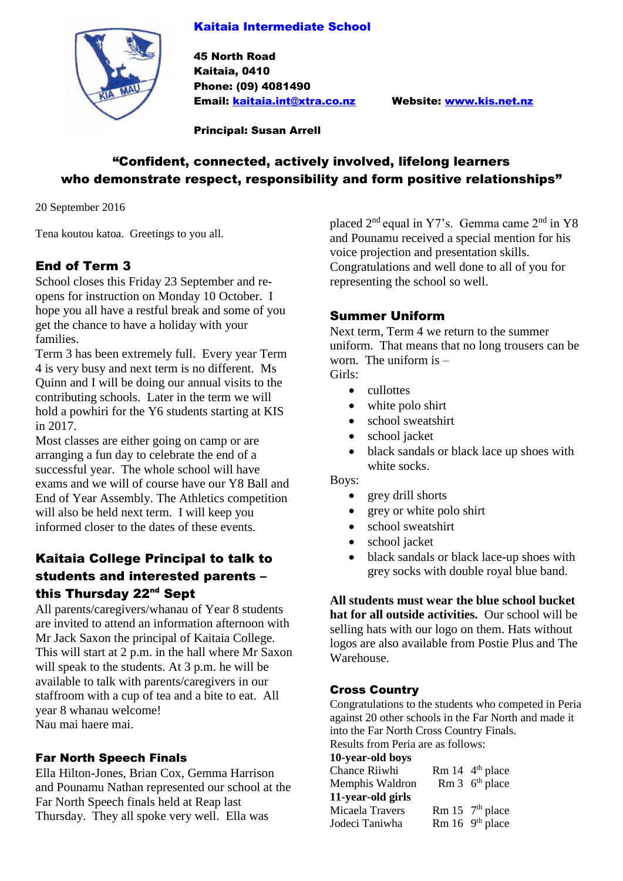## Kaitaia Intermediate School



45 North Road Kaitaia, 0410 Phone: (09) 4081490 Email: [kaitaia.int@xtra.co.nz](mailto:kaitaia.int@xtra.co.nz) Website: [www.kis.net.nz](http://www.kis.net.nz/)

Principal: Susan Arrell

# "Confident, connected, actively involved, lifelong learners who demonstrate respect, responsibility and form positive relationships"

20 September 2016

Tena koutou katoa. Greetings to you all.

# End of Term 3

School closes this Friday 23 September and reopens for instruction on Monday 10 October. I hope you all have a restful break and some of you get the chance to have a holiday with your families.

Term 3 has been extremely full. Every year Term 4 is very busy and next term is no different. Ms Quinn and I will be doing our annual visits to the contributing schools. Later in the term we will hold a powhiri for the Y6 students starting at KIS in 2017.

Most classes are either going on camp or are arranging a fun day to celebrate the end of a successful year. The whole school will have exams and we will of course have our Y8 Ball and End of Year Assembly. The Athletics competition will also be held next term. I will keep you informed closer to the dates of these events.

# Kaitaia College Principal to talk to students and interested parents – this Thursday 22<sup>nd</sup> Sept

All parents/caregivers/whanau of Year 8 students are invited to attend an information afternoon with Mr Jack Saxon the principal of Kaitaia College. This will start at 2 p.m. in the hall where Mr Saxon will speak to the students. At 3 p.m. he will be available to talk with parents/caregivers in our staffroom with a cup of tea and a bite to eat. All year 8 whanau welcome! Nau mai haere mai.

# Far North Speech Finals

Ella Hilton-Jones, Brian Cox, Gemma Harrison and Pounamu Nathan represented our school at the Far North Speech finals held at Reap last Thursday. They all spoke very well. Ella was

placed  $2<sup>nd</sup>$  equal in Y7's. Gemma came  $2<sup>nd</sup>$  in Y8 and Pounamu received a special mention for his voice projection and presentation skills. Congratulations and well done to all of you for representing the school so well.

# Summer Uniform

Next term, Term 4 we return to the summer uniform. That means that no long trousers can be worn. The uniform is  $-$ 

Girls:

- cullottes
- white polo shirt
- school sweatshirt
- school jacket
- black sandals or black lace up shoes with white socks.

Boys:

- grey drill shorts
- grey or white polo shirt
- school sweatshirt
- school jacket
- black sandals or black lace-up shoes with grey socks with double royal blue band.

**All students must wear the blue school bucket hat for all outside activities.** Our school will be selling hats with our logo on them. Hats without logos are also available from Postie Plus and The Warehouse.

# Cross Country

Congratulations to the students who competed in Peria against 20 other schools in the Far North and made it into the Far North Cross Country Finals. Results from Peria are as follows:

**10-year-old boys**

| $-0$ , $-0$ , $-0$ , $-0$ , $-0$ , $-0$ |                                                   |
|-----------------------------------------|---------------------------------------------------|
| Chance Riiwhi                           | Rm $14 \frac{\text{4}^{\text{th}}}{\text{place}}$ |
| Memphis Waldron                         | Rm $3$ 6 <sup>th</sup> place                      |
| 11-year-old girls                       |                                                   |
| Micaela Travers                         | Rm $15$ $7th$ place                               |
| Jodeci Taniwha                          | Rm $16$ 9 <sup>th</sup> place                     |
|                                         |                                                   |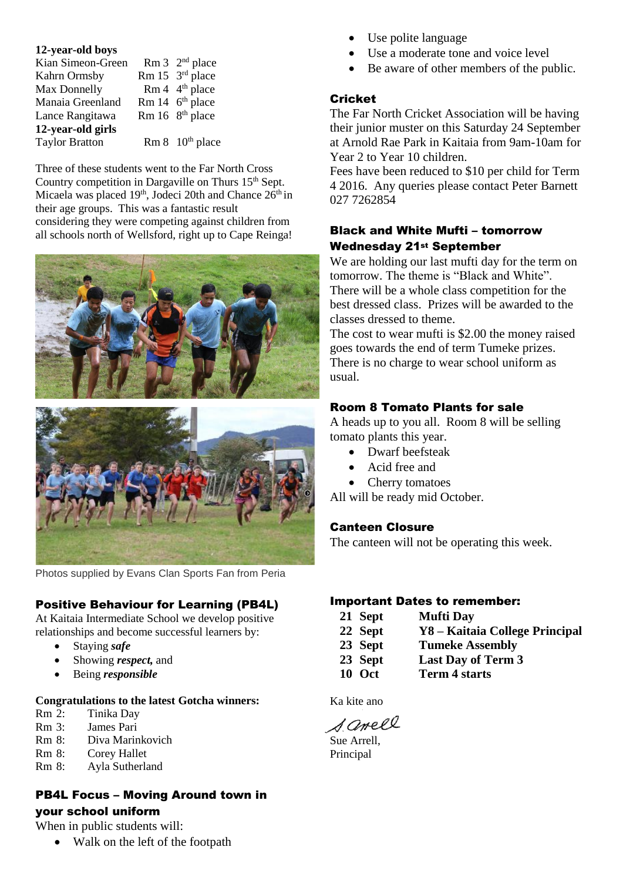#### **12-year-old boys**

| Kian Simeon-Green     | Rm $3^{2^{nd}}$ place            |
|-----------------------|----------------------------------|
| Kahrn Ormsby          | Rm 15 3rd place                  |
| Max Donnelly          | Rm 4 4 <sup>th</sup> place       |
| Manaia Greenland      | Rm $14 \, 6^{th}$ place          |
| Lance Rangitawa       | Rm $16 \,$ 8 <sup>th</sup> place |
| 12-year-old girls     |                                  |
| <b>Taylor Bratton</b> | Rm 8 10 <sup>th</sup> place      |

Three of these students went to the Far North Cross Country competition in Dargaville on Thurs  $15<sup>th</sup>$  Sept. Micaela was placed 19<sup>th</sup>, Jodeci 20th and Chance 26<sup>th</sup> in their age groups. This was a fantastic result considering they were competing against children from all schools north of Wellsford, right up to Cape Reinga!





Photos supplied by Evans Clan Sports Fan from Peria

### Positive Behaviour for Learning (PB4L)

At Kaitaia Intermediate School we develop positive relationships and become successful learners by:

- Staying *safe*
- Showing *respect,* and
- Being *responsible*

#### **Congratulations to the latest Gotcha winners:**

- Rm 2: Tinika Day
- Rm 3: James Pari
- Rm 8: Diva Marinkovich
- Rm 8: Corey Hallet
- Rm 8: Ayla Sutherland

# PB4L Focus – Moving Around town in your school uniform

When in public students will:

• Walk on the left of the footpath

- Use polite language
- Use a moderate tone and voice level
- Be aware of other members of the public.

### **Cricket**

The Far North Cricket Association will be having their junior muster on this Saturday 24 September at Arnold Rae Park in Kaitaia from 9am-10am for Year 2 to Year 10 children.

Fees have been reduced to \$10 per child for Term 4 2016. Any queries please contact Peter Barnett 027 7262854

## Black and White Mufti – tomorrow Wednesday 21st September

We are holding our last mufti day for the term on tomorrow. The theme is "Black and White". There will be a whole class competition for the best dressed class. Prizes will be awarded to the classes dressed to theme.

The cost to wear mufti is \$2.00 the money raised goes towards the end of term Tumeke prizes. There is no charge to wear school uniform as usual.

### Room 8 Tomato Plants for sale

A heads up to you all. Room 8 will be selling tomato plants this year.

- Dwarf beefsteak
- Acid free and
- Cherry tomatoes

All will be ready mid October.

### Canteen Closure

The canteen will not be operating this week.

### Important Dates to remember:

- **21 Sept Mufti Day**
- **22 Sept Y8 – Kaitaia College Principal**
- **23 Sept Tumeke Assembly**
- **23 Sept Last Day of Term 3**
- **10 Oct Term 4 starts**

Ka kite ano

Samell

Sue Arrell, Principal